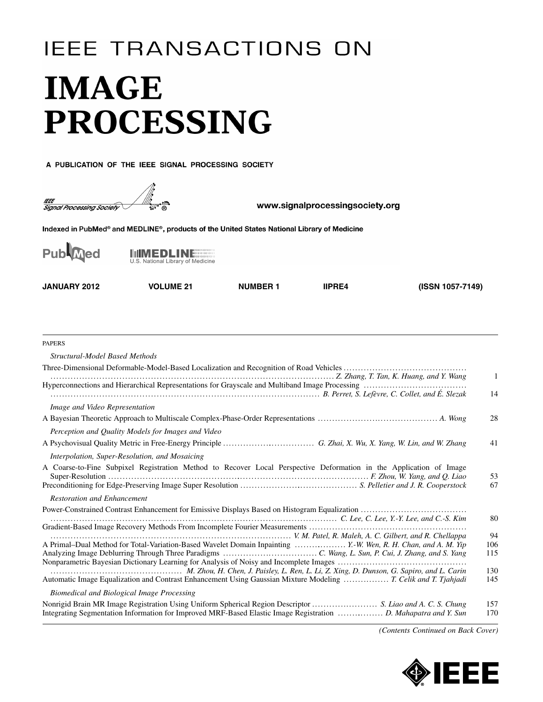## **IEEE TRANSACTIONS ON IMAGE PROCESSING**

A PUBLICATION OF THE IEEE SIGNAL PROCESSING SOCIETY



www.signalprocessingsociety.org

Indexed in PubMed® and MEDLINE®, products of the United States National Library of Medicine



**IIMEDLINE** U.S. National Library of Medicine

**JANUARY 2012 VOLUME 21 NUMBER 1 IIPRE4 (ISSN 1057-7149)**

| <b>PAPERS</b>                                                                                                      |              |
|--------------------------------------------------------------------------------------------------------------------|--------------|
| Structural-Model Based Methods                                                                                     |              |
|                                                                                                                    |              |
|                                                                                                                    | $\mathbf{1}$ |
| B. Perret, S. Lefèvre, C. Collet, and É. Slezak. (2016). The Superior Collet Collet, and L. Slezak.                | 14           |
| Image and Video Representation                                                                                     |              |
|                                                                                                                    | 28           |
| Perception and Quality Models for Images and Video                                                                 |              |
|                                                                                                                    | 41           |
| Interpolation, Super-Resolution, and Mosaicing                                                                     |              |
| A Coarse-to-Fine Subpixel Registration Method to Recover Local Perspective Deformation in the Application of Image | 53<br>67     |
| <b>Restoration and Enhancement</b>                                                                                 |              |
|                                                                                                                    | 80           |
|                                                                                                                    |              |
| V. M. Patel, R. Maleh, A. C. Gilbert, and R. Chellappa (Chellappa )                                                | 94<br>106    |
| A Primal-Dual Method for Total-Variation-Based Wavelet Domain Inpainting  Y.-W. Wen, R. H. Chan, and A. M. Yip     | 115          |
|                                                                                                                    | 130          |
| Automatic Image Equalization and Contrast Enhancement Using Gaussian Mixture Modeling  T. Celik and T. Tjahjadi    | 145          |
| Biomedical and Biological Image Processing                                                                         |              |
| Nonrigid Brain MR Image Registration Using Uniform Spherical Region Descriptor  S. Liao and A. C. S. Chung         | 157          |
| Integrating Segmentation Information for Improved MRF-Based Elastic Image Registration  D. Mahapatra and Y. Sun    | 170          |

*(Contents Continued on Back Cover)*